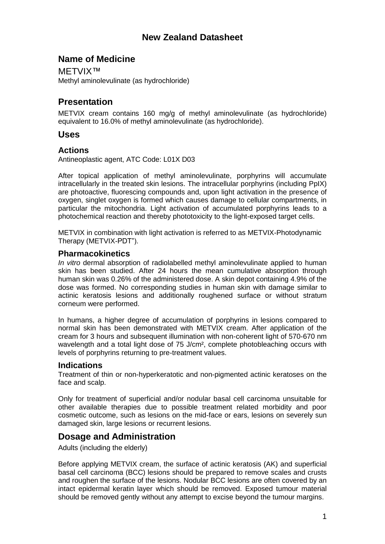# **New Zealand Datasheet**

## **Name of Medicine**

METVIX™ Methyl aminolevulinate (as hydrochloride)

# **Presentation**

METVIX cream contains 160 mg/g of methyl aminolevulinate (as hydrochloride) equivalent to 16.0% of methyl aminolevulinate (as hydrochloride).

### **Uses**

### **Actions**

Antineoplastic agent, ATC Code: L01X D03

After topical application of methyl aminolevulinate, porphyrins will accumulate intracellularly in the treated skin lesions. The intracellular porphyrins (including PpIX) are photoactive, fluorescing compounds and, upon light activation in the presence of oxygen, singlet oxygen is formed which causes damage to cellular compartments, in particular the mitochondria. Light activation of accumulated porphyrins leads to a photochemical reaction and thereby phototoxicity to the light-exposed target cells.

METVIX in combination with light activation is referred to as METVIX-Photodynamic Therapy (METVIX-PDT").

## **Pharmacokinetics**

*In vitro* dermal absorption of radiolabelled methyl aminolevulinate applied to human skin has been studied. After 24 hours the mean cumulative absorption through human skin was 0.26% of the administered dose. A skin depot containing 4.9% of the dose was formed. No corresponding studies in human skin with damage similar to actinic keratosis lesions and additionally roughened surface or without stratum corneum were performed.

In humans, a higher degree of accumulation of porphyrins in lesions compared to normal skin has been demonstrated with METVIX cream. After application of the cream for 3 hours and subsequent illumination with non-coherent light of 570-670 nm wavelength and a total light dose of 75 J/cm<sup>2</sup>, complete photobleaching occurs with levels of porphyrins returning to pre-treatment values.

### **Indications**

Treatment of thin or non-hyperkeratotic and non-pigmented actinic keratoses on the face and scalp.

Only for treatment of superficial and/or nodular basal cell carcinoma unsuitable for other available therapies due to possible treatment related morbidity and poor cosmetic outcome, such as lesions on the mid-face or ears, lesions on severely sun damaged skin, large lesions or recurrent lesions.

## **Dosage and Administration**

Adults (including the elderly)

Before applying METVIX cream, the surface of actinic keratosis (AK) and superficial basal cell carcinoma (BCC) lesions should be prepared to remove scales and crusts and roughen the surface of the lesions. Nodular BCC lesions are often covered by an intact epidermal keratin layer which should be removed. Exposed tumour material should be removed gently without any attempt to excise beyond the tumour margins.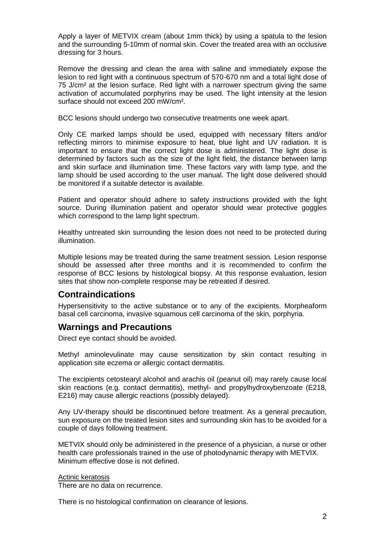Apply a layer of METVIX cream (about 1mm thick) by using a spatula to the lesion and the surrounding 5-10mm of normal skin. Cover the treated area with an occlusive dressing for 3 hours.

Remove the dressing and clean the area with saline and immediately expose the lesion to red light with a continuous spectrum of 570-670 nm and a total light dose of 75 J/cm² at the lesion surface. Red light with a narrower spectrum giving the same activation of accumulated porphyrins may be used. The light intensity at the lesion surface should not exceed 200 mW/cm².

BCC lesions should undergo two consecutive treatments one week apart.

Only CE marked lamps should be used, equipped with necessary filters and/or reflecting mirrors to minimise exposure to heat, blue light and UV radiation. It is important to ensure that the correct light dose is administered. The light dose is determined by factors such as the size of the light field, the distance between lamp and skin surface and illumination time. These factors vary with lamp type, and the lamp should be used according to the user manual. The light dose delivered should be monitored if a suitable detector is available.

Patient and operator should adhere to safety instructions provided with the light source. During illumination patient and operator should wear protective goggles which correspond to the lamp light spectrum.

Healthy untreated skin surrounding the lesion does not need to be protected during illumination.

Multiple lesions may be treated during the same treatment session. Lesion response should be assessed after three months and it is recommended to confirm the response of BCC lesions by histological biopsy. At this response evaluation, lesion sites that show non-complete response may be retreated if desired.

## **Contraindications**

Hypersensitivity to the active substance or to any of the excipients. Morpheaform basal cell carcinoma, invasive squamous cell carcinoma of the skin, porphyria.

## **Warnings and Precautions**

Direct eye contact should be avoided.

Methyl aminolevulinate may cause sensitization by skin contact resulting in application site eczema or allergic contact dermatitis.

The excipients cetostearyl alcohol and arachis oil (peanut oil) may rarely cause local skin reactions (e.g. contact dermatitis), methyl- and propylhydroxybenzoate (E218, E216) may cause allergic reactions (possibly delayed).

Any UV-therapy should be discontinued before treatment. As a general precaution, sun exposure on the treated lesion sites and surrounding skin has to be avoided for a couple of days following treatment.

METVIX should only be administered in the presence of a physician, a nurse or other health care professionals trained in the use of photodynamic therapy with METVIX. Minimum effective dose is not defined.

#### Actinic keratosis

There are no data on recurrence.

There is no histological confirmation on clearance of lesions.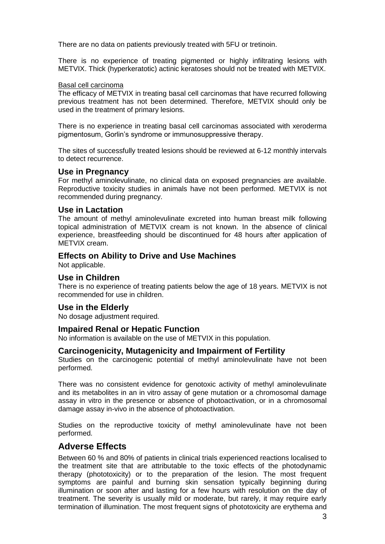There are no data on patients previously treated with 5FU or tretinoin.

There is no experience of treating pigmented or highly infiltrating lesions with METVIX. Thick (hyperkeratotic) actinic keratoses should not be treated with METVIX.

#### Basal cell carcinoma

The efficacy of METVIX in treating basal cell carcinomas that have recurred following previous treatment has not been determined. Therefore, METVIX should only be used in the treatment of primary lesions.

There is no experience in treating basal cell carcinomas associated with xeroderma pigmentosum, Gorlin's syndrome or immunosuppressive therapy.

The sites of successfully treated lesions should be reviewed at 6-12 monthly intervals to detect recurrence.

#### **Use in Pregnancy**

For methyl aminolevulinate, no clinical data on exposed pregnancies are available. Reproductive toxicity studies in animals have not been performed. METVIX is not recommended during pregnancy.

### **Use in Lactation**

The amount of methyl aminolevulinate excreted into human breast milk following topical administration of METVIX cream is not known. In the absence of clinical experience, breastfeeding should be discontinued for 48 hours after application of METVIX cream.

### **Effects on Ability to Drive and Use Machines**

Not applicable.

### **Use in Children**

There is no experience of treating patients below the age of 18 years. METVIX is not recommended for use in children.

### **Use in the Elderly**

No dosage adjustment required.

#### **Impaired Renal or Hepatic Function**

No information is available on the use of METVIX in this population.

### **Carcinogenicity, Mutagenicity and Impairment of Fertility**

Studies on the carcinogenic potential of methyl aminolevulinate have not been performed.

There was no consistent evidence for genotoxic activity of methyl aminolevulinate and its metabolites in an in vitro assay of gene mutation or a chromosomal damage assay in vitro in the presence or absence of photoactivation, or in a chromosomal damage assay in-vivo in the absence of photoactivation.

Studies on the reproductive toxicity of methyl aminolevulinate have not been performed.

## **Adverse Effects**

Between 60 % and 80% of patients in clinical trials experienced reactions localised to the treatment site that are attributable to the toxic effects of the photodynamic therapy (phototoxicity) or to the preparation of the lesion. The most frequent symptoms are painful and burning skin sensation typically beginning during illumination or soon after and lasting for a few hours with resolution on the day of treatment. The severity is usually mild or moderate, but rarely, it may require early termination of illumination. The most frequent signs of phototoxicity are erythema and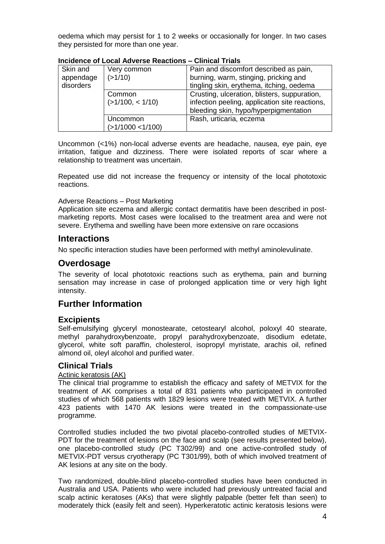oedema which may persist for 1 to 2 weeks or occasionally for longer. In two cases they persisted for more than one year.

| Skin and  | Very common                | Pain and discomfort described as pain,                                                                                                  |
|-----------|----------------------------|-----------------------------------------------------------------------------------------------------------------------------------------|
| appendage | (>1/10)                    | burning, warm, stinging, pricking and                                                                                                   |
| disorders |                            | tingling skin, erythema, itching, oedema                                                                                                |
|           | Common<br>(>1/100, < 1/10) | Crusting, ulceration, blisters, suppuration,<br>infection peeling, application site reactions,<br>bleeding skin, hypo/hyperpigmentation |
|           |                            |                                                                                                                                         |
|           | Uncommon                   | Rash, urticaria, eczema                                                                                                                 |
|           | $($ >1/1000 <1/100)        |                                                                                                                                         |

#### **Incidence of Local Adverse Reactions – Clinical Trials**

Uncommon (<1%) non-local adverse events are headache, nausea, eye pain, eye irritation, fatigue and dizziness. There were isolated reports of scar where a relationship to treatment was uncertain.

Repeated use did not increase the frequency or intensity of the local phototoxic reactions.

#### Adverse Reactions – Post Marketing

Application site eczema and allergic contact dermatitis have been described in postmarketing reports. Most cases were localised to the treatment area and were not severe. Erythema and swelling have been more extensive on rare occasions

### **Interactions**

No specific interaction studies have been performed with methyl aminolevulinate.

## **Overdosage**

The severity of local phototoxic reactions such as erythema, pain and burning sensation may increase in case of prolonged application time or very high light intensity.

## **Further Information**

### **Excipients**

Self-emulsifying glyceryl monostearate, cetostearyl alcohol, poloxyl 40 stearate, methyl parahydroxybenzoate, propyl parahydroxybenzoate, disodium edetate, glycerol, white soft paraffin, cholesterol, isopropyl myristate, arachis oil, refined almond oil, oleyl alcohol and purified water.

### **Clinical Trials**

#### Actinic keratosis (AK)

The clinical trial programme to establish the efficacy and safety of METVIX for the treatment of AK comprises a total of 831 patients who participated in controlled studies of which 568 patients with 1829 lesions were treated with METVIX. A further 423 patients with 1470 AK lesions were treated in the compassionate-use programme.

Controlled studies included the two pivotal placebo-controlled studies of METVIX-PDT for the treatment of lesions on the face and scalp (see results presented below), one placebo-controlled study (PC T302/99) and one active-controlled study of METVIX-PDT versus cryotherapy (PC T301/99), both of which involved treatment of AK lesions at any site on the body.

Two randomized, double-blind placebo-controlled studies have been conducted in Australia and USA. Patients who were included had previously untreated facial and scalp actinic keratoses (AKs) that were slightly palpable (better felt than seen) to moderately thick (easily felt and seen). Hyperkeratotic actinic keratosis lesions were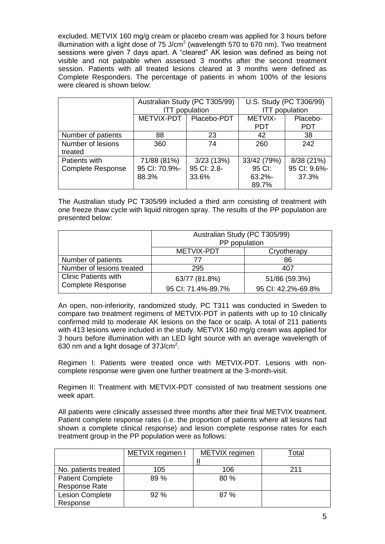excluded. METVIX 160 mg/g cream or placebo cream was applied for 3 hours before illumination with a light dose of 75 J/cm<sup>2</sup> (wavelength 570 to 670 nm). Two treatment sessions were given 7 days apart. A "cleared" AK lesion was defined as being not visible and not palpable when assessed 3 months after the second treatment session. Patients with all treated lesions cleared at 3 months were defined as Complete Responders. The percentage of patients in whom 100% of the lesions were cleared is shown below:

|                              | Australian Study (PC T305/99)<br><b>ITT</b> population |             | U.S. Study (PC T306/99)<br><b>ITT</b> population |              |
|------------------------------|--------------------------------------------------------|-------------|--------------------------------------------------|--------------|
|                              | METVIX-PDT                                             | Placebo-PDT | METVIX-                                          | Placebo-     |
|                              |                                                        |             | <b>PDT</b>                                       | <b>PDT</b>   |
| Number of patients           | 88                                                     | 23          | 42                                               | 38           |
| Number of lesions<br>treated | 360                                                    | 74          | 260                                              | 242          |
| Patients with                | 71/88 (81%)                                            | 3/23(13%)   | 33/42 (79%)                                      | 8/38 (21%)   |
| <b>Complete Response</b>     | 95 CI: 70.9%-                                          | 95 CI: 2.8- | 95 CI:                                           | 95 CI: 9.6%- |
|                              | 88.3%                                                  | 33.6%       | $63.2\%$ -                                       | 37.3%        |
|                              |                                                        |             | 89.7%                                            |              |

The Australian study PC T305/99 included a third arm consisting of treatment with one freeze thaw cycle with liquid nitrogen spray. The results of the PP population are presented below:

|                             | Australian Study (PC T305/99)<br>PP population |                    |  |
|-----------------------------|------------------------------------------------|--------------------|--|
|                             | METVIX-PDT                                     | Cryotherapy        |  |
| Number of patients          | 77                                             | 86                 |  |
| Number of lesions treated   | 295                                            | 407                |  |
| <b>Clinic Patients with</b> | 63/77 (81.8%)                                  | 51/86 (59.3%)      |  |
| <b>Complete Response</b>    | 95 CI: 71.4%-89.7%                             | 95 CI: 42.2%-69.8% |  |

An open, non-inferiority, randomized study, PC T311 was conducted in Sweden to compare two treatment regimens of METVIX-PDT in patients with up to 10 clinically confirmed mild to moderate AK lesions on the face or scalp. A total of 211 patients with 413 lesions were included in the study. METVIX 160 mg/g cream was applied for 3 hours before illumination with an LED light source with an average wavelength of 630 nm and a light dosage of  $37$ J/cm<sup>2</sup>.

Regimen I: Patients were treated once with METVIX-PDT. Lesions with noncomplete response were given one further treatment at the 3-month-visit.

Regimen II: Treatment with METVIX-PDT consisted of two treatment sessions one week apart.

All patients were clinically assessed three months after their final METVIX treatment. Patient complete response rates (i.e. the proportion of patients where all lesions had shown a complete clinical response) and lesion complete response rates for each treatment group in the PP population were as follows:

|                         | METVIX regimen I | METVIX regimen | <sup>-</sup> otal |
|-------------------------|------------------|----------------|-------------------|
| No. patients treated    | 105              | 106            | 211               |
| <b>Patient Complete</b> | 89 %             | 80 %           |                   |
| <b>Response Rate</b>    |                  |                |                   |
| <b>Lesion Complete</b>  | 92%              | 87%            |                   |
| Response                |                  |                |                   |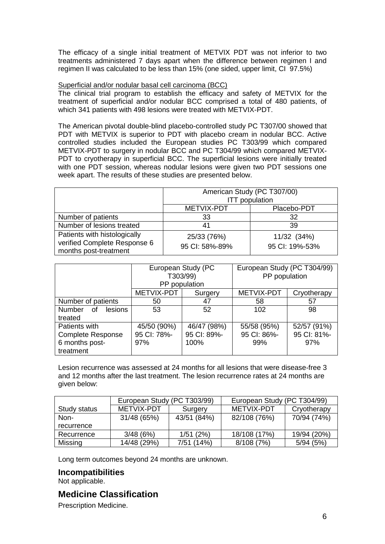The efficacy of a single initial treatment of METVIX PDT was not inferior to two treatments administered 7 days apart when the difference between regimen I and regimen II was calculated to be less than 15% (one sided, upper limit, CI 97.5%)

#### Superficial and/or nodular basal cell carcinoma (BCC)

The clinical trial program to establish the efficacy and safety of METVIX for the treatment of superficial and/or nodular BCC comprised a total of 480 patients, of which 341 patients with 498 lesions were treated with METVIX-PDT.

The American pivotal double-blind placebo-controlled study PC T307/00 showed that PDT with METVIX is superior to PDT with placebo cream in nodular BCC. Active controlled studies included the European studies PC T303/99 which compared METVIX-PDT to surgery in nodular BCC and PC T304/99 which compared METVIX-PDT to cryotherapy in superficial BCC. The superficial lesions were initially treated with one PDT session, whereas nodular lesions were given two PDT sessions one week apart. The results of these studies are presented below.

|                                                                                       | American Study (PC T307/00)<br><b>ITT</b> population |                               |  |
|---------------------------------------------------------------------------------------|------------------------------------------------------|-------------------------------|--|
|                                                                                       | <b>METVIX-PDT</b>                                    | Placebo-PDT                   |  |
| Number of patients                                                                    | 33                                                   | 32                            |  |
| Number of lesions treated                                                             | 41                                                   | 39                            |  |
| Patients with histologically<br>verified Complete Response 6<br>months post-treatment | 25/33 (76%)<br>95 CI: 58%-89%                        | 11/32 (34%)<br>95 CI: 19%-53% |  |

|                                       | European Study (PC<br>T303/99)<br>PP population |             | European Study (PC T304/99)<br>PP population |             |
|---------------------------------------|-------------------------------------------------|-------------|----------------------------------------------|-------------|
|                                       | METVIX-PDT                                      | Surgery     | <b>METVIX-PDT</b>                            | Cryotherapy |
| Number of patients                    | 50                                              | 47          | 58                                           | 57          |
| <b>Number</b><br><b>lesions</b><br>0f | 53                                              | 52          | 102                                          | 98          |
| treated                               |                                                 |             |                                              |             |
| Patients with                         | 45/50 (90%)                                     | 46/47 (98%) | 55/58 (95%)                                  | 52/57 (91%) |
| <b>Complete Response</b>              | 95 CI: 78%-                                     | 95 CI: 89%- | 95 CI: 86%-                                  | 95 CI: 81%- |
| 6 months post-                        | 97%                                             | 100%        | 99%                                          | 97%         |
| treatment                             |                                                 |             |                                              |             |

Lesion recurrence was assessed at 24 months for all lesions that were disease-free 3 and 12 months after the last treatment. The lesion recurrence rates at 24 months are given below:

|              | European Study (PC T303/99) |             | European Study (PC T304/99) |             |
|--------------|-----------------------------|-------------|-----------------------------|-------------|
| Study status | METVIX-PDT                  | Surgery     | METVIX-PDT                  | Cryotherapy |
| Non-         | 31/48 (65%)                 | 43/51 (84%) | 82/108 (76%)                | 70/94 (74%) |
| recurrence   |                             |             |                             |             |
| Recurrence   | 3/48(6%)                    | 1/51(2%)    | 18/108 (17%)                | 19/94 (20%) |
| Missing      | 14/48 (29%)                 | 7/51 (14%)  | 8/108 (7%)                  | 5/94(5%)    |

Long term outcomes beyond 24 months are unknown.

### **Incompatibilities**

Not applicable.

## **Medicine Classification**

Prescription Medicine.